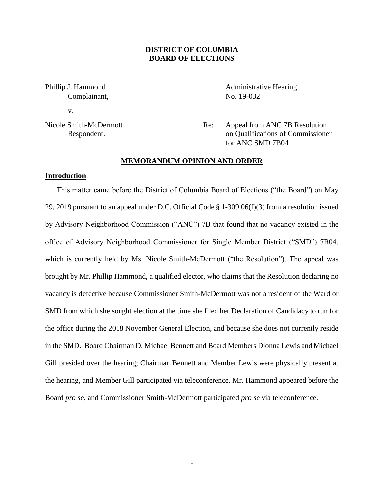# **DISTRICT OF COLUMBIA BOARD OF ELECTIONS**

Complainant, No. 19-032

v.

Phillip J. Hammond **Administrative Hearing** 

Nicole Smith-McDermott Re: Appeal from ANC 7B Resolution Respondent. on Qualifications of Commissioner for ANC SMD 7B04

# **MEMORANDUM OPINION AND ORDER**

### **Introduction**

This matter came before the District of Columbia Board of Elections ("the Board") on May 29, 2019 pursuant to an appeal under D.C. Official Code § 1-309.06(f)(3) from a resolution issued by Advisory Neighborhood Commission ("ANC") 7B that found that no vacancy existed in the office of Advisory Neighborhood Commissioner for Single Member District ("SMD") 7B04, which is currently held by Ms. Nicole Smith-McDermott ("the Resolution"). The appeal was brought by Mr. Phillip Hammond, a qualified elector, who claims that the Resolution declaring no vacancy is defective because Commissioner Smith-McDermott was not a resident of the Ward or SMD from which she sought election at the time she filed her Declaration of Candidacy to run for the office during the 2018 November General Election, and because she does not currently reside in the SMD. Board Chairman D. Michael Bennett and Board Members Dionna Lewis and Michael Gill presided over the hearing; Chairman Bennett and Member Lewis were physically present at the hearing, and Member Gill participated via teleconference. Mr. Hammond appeared before the Board *pro se*, and Commissioner Smith-McDermott participated *pro se* via teleconference.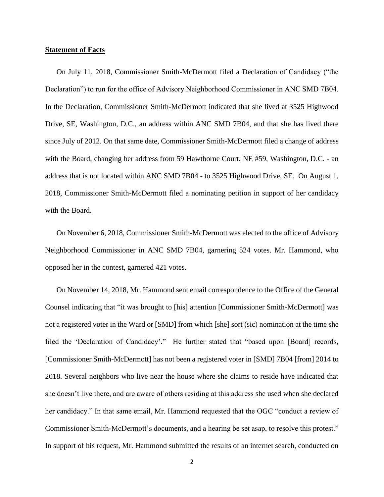### **Statement of Facts**

On July 11, 2018, Commissioner Smith-McDermott filed a Declaration of Candidacy ("the Declaration") to run for the office of Advisory Neighborhood Commissioner in ANC SMD 7B04. In the Declaration, Commissioner Smith-McDermott indicated that she lived at 3525 Highwood Drive, SE, Washington, D.C., an address within ANC SMD 7B04, and that she has lived there since July of 2012. On that same date, Commissioner Smith-McDermott filed a change of address with the Board, changing her address from 59 Hawthorne Court, NE #59, Washington, D.C. - an address that is not located within ANC SMD 7B04 - to 3525 Highwood Drive, SE. On August 1, 2018, Commissioner Smith-McDermott filed a nominating petition in support of her candidacy with the Board.

On November 6, 2018, Commissioner Smith-McDermott was elected to the office of Advisory Neighborhood Commissioner in ANC SMD 7B04, garnering 524 votes. Mr. Hammond, who opposed her in the contest, garnered 421 votes.

On November 14, 2018, Mr. Hammond sent email correspondence to the Office of the General Counsel indicating that "it was brought to [his] attention [Commissioner Smith-McDermott] was not a registered voter in the Ward or [SMD] from which [she] sort (sic) nomination at the time she filed the 'Declaration of Candidacy'." He further stated that "based upon [Board] records, [Commissioner Smith-McDermott] has not been a registered voter in [SMD] 7B04 [from] 2014 to 2018. Several neighbors who live near the house where she claims to reside have indicated that she doesn't live there, and are aware of others residing at this address she used when she declared her candidacy." In that same email, Mr. Hammond requested that the OGC "conduct a review of Commissioner Smith-McDermott's documents, and a hearing be set asap, to resolve this protest." In support of his request, Mr. Hammond submitted the results of an internet search, conducted on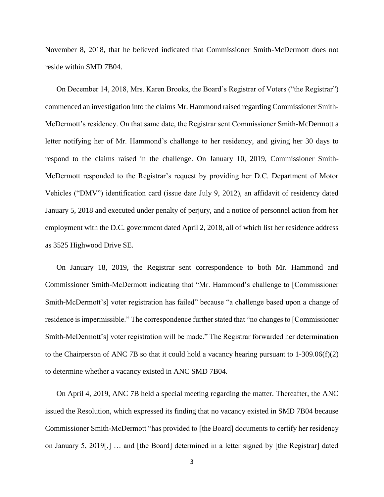November 8, 2018, that he believed indicated that Commissioner Smith-McDermott does not reside within SMD 7B04.

On December 14, 2018, Mrs. Karen Brooks, the Board's Registrar of Voters ("the Registrar") commenced an investigation into the claims Mr. Hammond raised regarding Commissioner Smith-McDermott's residency. On that same date, the Registrar sent Commissioner Smith-McDermott a letter notifying her of Mr. Hammond's challenge to her residency, and giving her 30 days to respond to the claims raised in the challenge. On January 10, 2019, Commissioner Smith-McDermott responded to the Registrar's request by providing her D.C. Department of Motor Vehicles ("DMV") identification card (issue date July 9, 2012), an affidavit of residency dated January 5, 2018 and executed under penalty of perjury, and a notice of personnel action from her employment with the D.C. government dated April 2, 2018, all of which list her residence address as 3525 Highwood Drive SE.

On January 18, 2019, the Registrar sent correspondence to both Mr. Hammond and Commissioner Smith-McDermott indicating that "Mr. Hammond's challenge to [Commissioner Smith-McDermott's] voter registration has failed" because "a challenge based upon a change of residence is impermissible." The correspondence further stated that "no changes to [Commissioner Smith-McDermott's] voter registration will be made." The Registrar forwarded her determination to the Chairperson of ANC 7B so that it could hold a vacancy hearing pursuant to 1-309.06(f)(2) to determine whether a vacancy existed in ANC SMD 7B04.

On April 4, 2019, ANC 7B held a special meeting regarding the matter. Thereafter, the ANC issued the Resolution, which expressed its finding that no vacancy existed in SMD 7B04 because Commissioner Smith-McDermott "has provided to [the Board] documents to certify her residency on January 5, 2019[,] … and [the Board] determined in a letter signed by [the Registrar] dated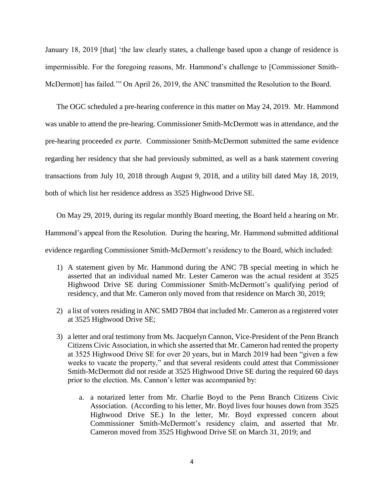January 18, 2019 [that] 'the law clearly states, a challenge based upon a change of residence is impermissible. For the foregoing reasons, Mr. Hammond's challenge to [Commissioner Smith-McDermott] has failed.'" On April 26, 2019, the ANC transmitted the Resolution to the Board.

The OGC scheduled a pre-hearing conference in this matter on May 24, 2019. Mr. Hammond was unable to attend the pre-hearing. Commissioner Smith-McDermott was in attendance, and the pre-hearing proceeded *ex parte.* Commissioner Smith-McDermott submitted the same evidence regarding her residency that she had previously submitted, as well as a bank statement covering transactions from July 10, 2018 through August 9, 2018, and a utility bill dated May 18, 2019, both of which list her residence address as 3525 Highwood Drive SE.

On May 29, 2019, during its regular monthly Board meeting, the Board held a hearing on Mr. Hammond's appeal from the Resolution. During the hearing, Mr. Hammond submitted additional evidence regarding Commissioner Smith-McDermott's residency to the Board, which included:

- 1) A statement given by Mr. Hammond during the ANC 7B special meeting in which he asserted that an individual named Mr. Lester Cameron was the actual resident at 3525 Highwood Drive SE during Commissioner Smith-McDermott's qualifying period of residency, and that Mr. Cameron only moved from that residence on March 30, 2019;
- 2) a list of voters residing in ANC SMD 7B04 that included Mr. Cameron as a registered voter at 3525 Highwood Drive SE;
- 3) a letter and oral testimony from Ms. Jacquelyn Cannon, Vice-President of the Penn Branch Citizens Civic Association, in which she asserted that Mr. Cameron had rented the property at 3525 Highwood Drive SE for over 20 years, but in March 2019 had been "given a few weeks to vacate the property," and that several residents could attest that Commissioner Smith-McDermott did not reside at 3525 Highwood Drive SE during the required 60 days prior to the election. Ms. Cannon's letter was accompanied by:
	- a. a notarized letter from Mr. Charlie Boyd to the Penn Branch Citizens Civic Association. (According to his letter, Mr. Boyd lives four houses down from 3525 Highwood Drive SE.) In the letter, Mr. Boyd expressed concern about Commissioner Smith-McDermott's residency claim, and asserted that Mr. Cameron moved from 3525 Highwood Drive SE on March 31, 2019; and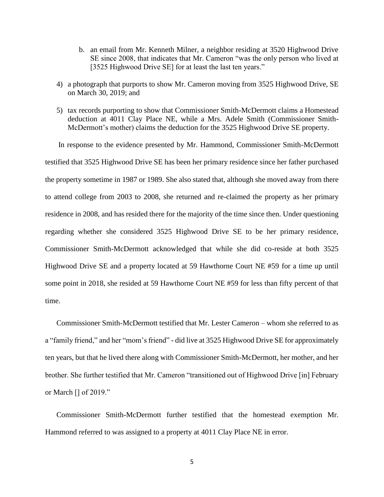- b. an email from Mr. Kenneth Milner, a neighbor residing at 3520 Highwood Drive SE since 2008, that indicates that Mr. Cameron "was the only person who lived at [3525 Highwood Drive SE] for at least the last ten years."
- 4) a photograph that purports to show Mr. Cameron moving from 3525 Highwood Drive, SE on March 30, 2019; and
- 5) tax records purporting to show that Commissioner Smith-McDermott claims a Homestead deduction at 4011 Clay Place NE, while a Mrs. Adele Smith (Commissioner Smith-McDermott's mother) claims the deduction for the 3525 Highwood Drive SE property.

In response to the evidence presented by Mr. Hammond, Commissioner Smith-McDermott testified that 3525 Highwood Drive SE has been her primary residence since her father purchased the property sometime in 1987 or 1989. She also stated that, although she moved away from there to attend college from 2003 to 2008, she returned and re-claimed the property as her primary residence in 2008, and has resided there for the majority of the time since then. Under questioning regarding whether she considered 3525 Highwood Drive SE to be her primary residence, Commissioner Smith-McDermott acknowledged that while she did co-reside at both 3525 Highwood Drive SE and a property located at 59 Hawthorne Court NE #59 for a time up until some point in 2018, she resided at 59 Hawthorne Court NE #59 for less than fifty percent of that time.

Commissioner Smith-McDermott testified that Mr. Lester Cameron – whom she referred to as a "family friend," and her "mom's friend" - did live at 3525 Highwood Drive SE for approximately ten years, but that he lived there along with Commissioner Smith-McDermott, her mother, and her brother. She further testified that Mr. Cameron "transitioned out of Highwood Drive [in] February or March [] of 2019."

Commissioner Smith-McDermott further testified that the homestead exemption Mr. Hammond referred to was assigned to a property at 4011 Clay Place NE in error.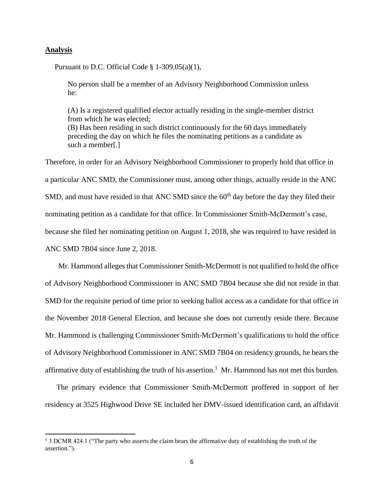### **Analysis**

 $\overline{a}$ 

Pursuant to D.C. Official Code § 1-309.05(a)(1),

No person shall be a member of an Advisory Neighborhood Commission unless he:

(A) Is a registered qualified elector actually residing in the single-member district from which he was elected; (B) Has been residing in such district continuously for the 60 days immediately preceding the day on which he files the nominating petitions as a candidate as such a member[.]

Therefore, in order for an Advisory Neighborhood Commissioner to properly hold that office in a particular ANC SMD, the Commissioner must, among other things, actually reside in the ANC SMD, and must have resided in that ANC SMD since the  $60<sup>th</sup>$  day before the day they filed their nominating petition as a candidate for that office. In Commissioner Smith-McDermott's case, because she filed her nominating petition on August 1, 2018, she was required to have resided in ANC SMD 7B04 since June 2, 2018.

Mr. Hammond alleges that Commissioner Smith-McDermott is not qualified to hold the office of Advisory Neighborhood Commissioner in ANC SMD 7B04 because she did not reside in that SMD for the requisite period of time prior to seeking ballot access as a candidate for that office in the November 2018 General Election, and because she does not currently reside there. Because Mr. Hammond is challenging Commissioner Smith-McDermott's qualifications to hold the office of Advisory Neighborhood Commissioner in ANC SMD 7B04 on residency grounds, he bears the affirmative duty of establishing the truth of his assertion.<sup>1</sup> Mr. Hammond has not met this burden.

The primary evidence that Commissioner Smith-McDermott proffered in support of her residency at 3525 Highwood Drive SE included her DMV-issued identification card, an affidavit

<sup>1</sup> 3 DCMR 424.1 ("The party who asserts the claim bears the affirmative duty of establishing the truth of the assertion.").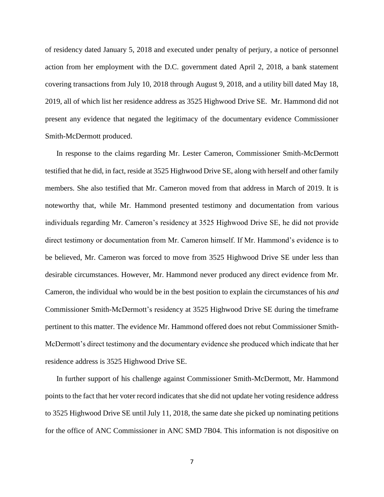of residency dated January 5, 2018 and executed under penalty of perjury, a notice of personnel action from her employment with the D.C. government dated April 2, 2018, a bank statement covering transactions from July 10, 2018 through August 9, 2018, and a utility bill dated May 18, 2019, all of which list her residence address as 3525 Highwood Drive SE. Mr. Hammond did not present any evidence that negated the legitimacy of the documentary evidence Commissioner Smith-McDermott produced.

In response to the claims regarding Mr. Lester Cameron, Commissioner Smith-McDermott testified that he did, in fact, reside at 3525 Highwood Drive SE, along with herself and other family members. She also testified that Mr. Cameron moved from that address in March of 2019. It is noteworthy that, while Mr. Hammond presented testimony and documentation from various individuals regarding Mr. Cameron's residency at 3525 Highwood Drive SE, he did not provide direct testimony or documentation from Mr. Cameron himself. If Mr. Hammond's evidence is to be believed, Mr. Cameron was forced to move from 3525 Highwood Drive SE under less than desirable circumstances. However, Mr. Hammond never produced any direct evidence from Mr. Cameron, the individual who would be in the best position to explain the circumstances of his *and* Commissioner Smith-McDermott's residency at 3525 Highwood Drive SE during the timeframe pertinent to this matter. The evidence Mr. Hammond offered does not rebut Commissioner Smith-McDermott's direct testimony and the documentary evidence she produced which indicate that her residence address is 3525 Highwood Drive SE.

In further support of his challenge against Commissioner Smith-McDermott, Mr. Hammond points to the fact that her voter record indicates that she did not update her voting residence address to 3525 Highwood Drive SE until July 11, 2018, the same date she picked up nominating petitions for the office of ANC Commissioner in ANC SMD 7B04. This information is not dispositive on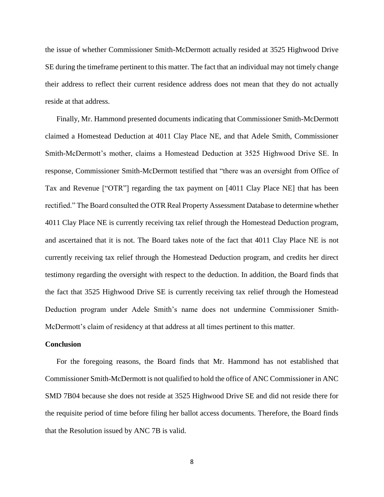the issue of whether Commissioner Smith-McDermott actually resided at 3525 Highwood Drive SE during the timeframe pertinent to this matter. The fact that an individual may not timely change their address to reflect their current residence address does not mean that they do not actually reside at that address.

Finally, Mr. Hammond presented documents indicating that Commissioner Smith-McDermott claimed a Homestead Deduction at 4011 Clay Place NE, and that Adele Smith, Commissioner Smith-McDermott's mother, claims a Homestead Deduction at 3525 Highwood Drive SE. In response, Commissioner Smith-McDermott testified that "there was an oversight from Office of Tax and Revenue ["OTR"] regarding the tax payment on [4011 Clay Place NE] that has been rectified." The Board consulted the OTR Real Property Assessment Database to determine whether 4011 Clay Place NE is currently receiving tax relief through the Homestead Deduction program, and ascertained that it is not. The Board takes note of the fact that 4011 Clay Place NE is not currently receiving tax relief through the Homestead Deduction program, and credits her direct testimony regarding the oversight with respect to the deduction. In addition, the Board finds that the fact that 3525 Highwood Drive SE is currently receiving tax relief through the Homestead Deduction program under Adele Smith's name does not undermine Commissioner Smith-McDermott's claim of residency at that address at all times pertinent to this matter.

#### **Conclusion**

For the foregoing reasons, the Board finds that Mr. Hammond has not established that Commissioner Smith-McDermott is not qualified to hold the office of ANC Commissioner in ANC SMD 7B04 because she does not reside at 3525 Highwood Drive SE and did not reside there for the requisite period of time before filing her ballot access documents. Therefore, the Board finds that the Resolution issued by ANC 7B is valid.